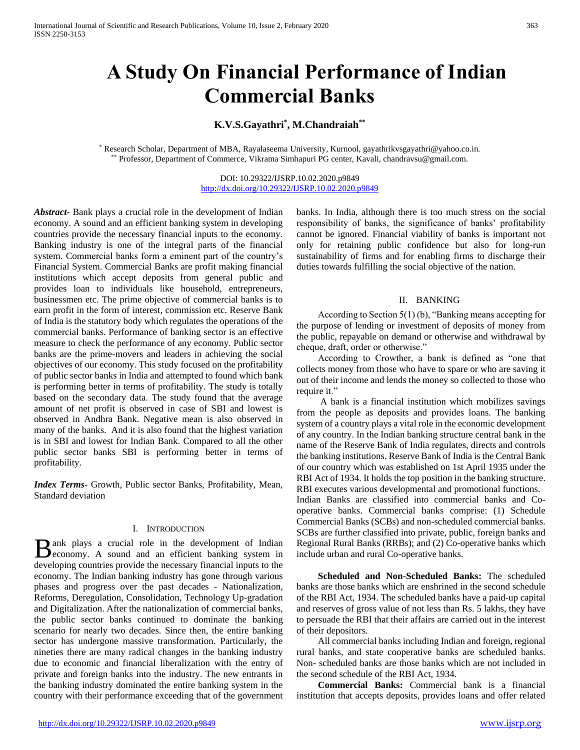# **A Study On Financial Performance of Indian Commercial Banks**

## **K.V.S.Gayathri\* , M.Chandraiah\*\***

\* Research Scholar, Department of MBA, Rayalaseema University, Kurnool, gayathrikvsgayathri@yahoo.co.in. \*\* Professor, Department of Commerce, Vikrama Simhapuri PG center, Kavali, chandravsu@gmail.com.

> DOI: 10.29322/IJSRP.10.02.2020.p9849 <http://dx.doi.org/10.29322/IJSRP.10.02.2020.p9849>

*Abstract***-** Bank plays a crucial role in the development of Indian economy. A sound and an efficient banking system in developing countries provide the necessary financial inputs to the economy. Banking industry is one of the integral parts of the financial system. Commercial banks form a eminent part of the country's Financial System. Commercial Banks are profit making financial institutions which accept deposits from general public and provides loan to individuals like household, entrepreneurs, businessmen etc. The prime objective of commercial banks is to earn profit in the form of interest, commission etc. Reserve Bank of India is the statutory body which regulates the operations of the commercial banks. Performance of banking sector is an effective measure to check the performance of any economy. Public sector banks are the prime-movers and leaders in achieving the social objectives of our economy. This study focused on the profitability of public sector banks in India and attempted to found which bank is performing better in terms of profitability. The study is totally based on the secondary data. The study found that the average amount of net profit is observed in case of SBI and lowest is observed in Andhra Bank. Negative mean is also observed in many of the banks. And it is also found that the highest variation is in SBI and lowest for Indian Bank. Compared to all the other public sector banks SBI is performing better in terms of profitability.

*Index Terms*- Growth, Public sector Banks, Profitability, Mean, Standard deviation

#### I. INTRODUCTION

ank plays a crucial role in the development of Indian B ank plays a crucial role in the development of Indian economy. A sound and an efficient banking system in developing countries provide the necessary financial inputs to the economy. The Indian banking industry has gone through various phases and progress over the past decades - Nationalization, Reforms, Deregulation, Consolidation, Technology Up-gradation and Digitalization. After the nationalization of commercial banks, the public sector banks continued to dominate the banking scenario for nearly two decades. Since then, the entire banking sector has undergone massive transformation. Particularly, the nineties there are many radical changes in the banking industry due to economic and financial liberalization with the entry of private and foreign banks into the industry. The new entrants in the banking industry dominated the entire banking system in the country with their performance exceeding that of the government

banks. In India, although there is too much stress on the social responsibility of banks, the significance of banks' profitability cannot be ignored. Financial viability of banks is important not only for retaining public confidence but also for long-run sustainability of firms and for enabling firms to discharge their duties towards fulfilling the social objective of the nation.

#### II. BANKING

 According to Section 5(1) (b), "Banking means accepting for the purpose of lending or investment of deposits of money from the public, repayable on demand or otherwise and withdrawal by cheque, draft, order or otherwise."

 According to Crowther, a bank is defined as "one that collects money from those who have to spare or who are saving it out of their income and lends the money so collected to those who require it."

 A bank is a financial institution which mobilizes savings from the people as deposits and provides loans. The banking system of a country plays a vital role in the economic development of any country. In the Indian banking structure central bank in the name of the Reserve Bank of India regulates, directs and controls the banking institutions. Reserve Bank of India is the Central Bank of our country which was established on 1st April 1935 under the RBI Act of 1934. It holds the top position in the banking structure. RBI executes various developmental and promotional functions. Indian Banks are classified into commercial banks and Cooperative banks. Commercial banks comprise: (1) Schedule Commercial Banks (SCBs) and non-scheduled commercial banks. SCBs are further classified into private, public, foreign banks and Regional Rural Banks (RRBs); and (2) Co-operative banks which include urban and rural Co-operative banks.

 **Scheduled and Non-Scheduled Banks:** The scheduled banks are those banks which are enshrined in the second schedule of the RBI Act, 1934. The scheduled banks have a paid-up capital and reserves of gross value of not less than Rs. 5 lakhs, they have to persuade the RBI that their affairs are carried out in the interest of their depositors.

 All commercial banks including Indian and foreign, regional rural banks, and state cooperative banks are scheduled banks. Non- scheduled banks are those banks which are not included in the second schedule of the RBI Act, 1934.

 **Commercial Banks:** Commercial bank is a financial institution that accepts deposits, provides loans and offer related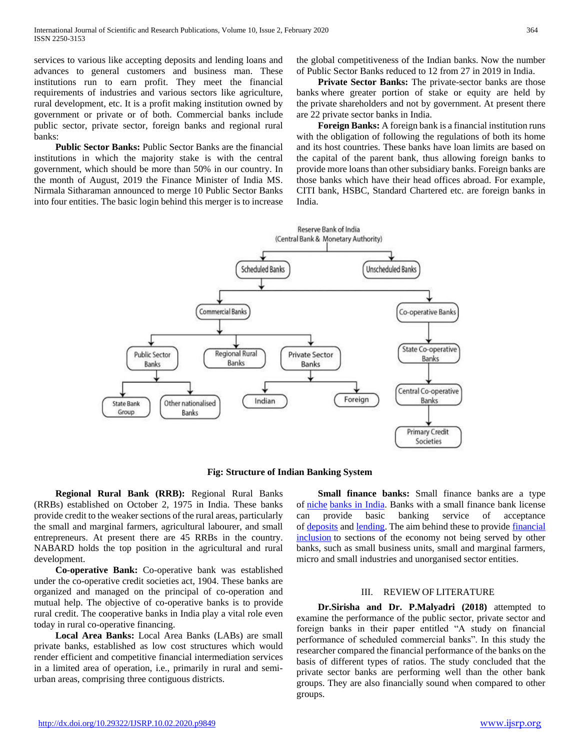services to various like accepting deposits and lending loans and advances to general customers and business man. These institutions run to earn profit. They meet the financial requirements of industries and various sectors like agriculture, rural development, etc. It is a profit making institution owned by government or private or of both. Commercial banks include public sector, private sector, foreign banks and regional rural banks:

 **Public Sector Banks:** Public Sector Banks are the financial institutions in which the majority stake is with the central government, which should be more than 50% in our country. In the month of August, 2019 the Finance Minister of India MS. Nirmala Sitharaman announced to merge 10 Public Sector Banks into four entities. The basic login behind this merger is to increase the global competitiveness of the Indian banks. Now the number of Public Sector Banks reduced to 12 from 27 in 2019 in India.

 **Private Sector Banks:** The private-sector banks are those banks where greater portion of stake or equity are held by the private shareholders and not by government. At present there are 22 private sector banks in India.

 **Foreign Banks:** A foreign bank is a financial institution runs with the obligation of following the regulations of both its home and its host countries. These banks have loan limits are based on the capital of the parent bank, thus allowing foreign banks to provide more loans than other subsidiary banks. Foreign banks are those banks which have their head offices abroad. For example, CITI bank, HSBC, Standard Chartered etc. are foreign banks in India.



**Fig: Structure of Indian Banking System**

 **Regional Rural Bank (RRB):** Regional Rural Banks (RRBs) established on October 2, 1975 in India. These banks provide credit to the weaker sections of the rural areas, particularly the small and marginal farmers, agricultural labourer, and small entrepreneurs. At present there are 45 RRBs in the country. NABARD holds the top position in the agricultural and rural development.

 **Co-operative Bank:** Co-operative bank was established under the co-operative credit societies act, 1904. These banks are organized and managed on the principal of co-operation and mutual help. The objective of co-operative banks is to provide rural credit. The cooperative banks in India play a vital role even today in rural co-operative financing.

 **Local Area Banks:** Local Area Banks (LABs) are small private banks, established as low cost structures which would render efficient and competitive financial intermediation services in a limited area of operation, i.e., primarily in rural and semiurban areas, comprising three contiguous districts.

 **Small finance banks:** Small finance banks are a type of [niche](https://en.wikipedia.org/wiki/Niche_market) [banks in India.](https://en.wikipedia.org/wiki/Banking_in_India) Banks with a small finance bank license can provide basic banking service of acceptance of [deposits](https://en.wikipedia.org/wiki/Bank_deposit) and [lending.](https://en.wikipedia.org/wiki/Bank_loan) The aim behind these to provide financial [inclusion](https://en.wikipedia.org/wiki/Financial_inclusion) to sections of the economy not being served by other banks, such as small business units, small and marginal farmers, micro and small industries and unorganised sector entities.

#### III. REVIEW OF LITERATURE

 **Dr.Sirisha and Dr. P.Malyadri (2018)** attempted to examine the performance of the public sector, private sector and foreign banks in their paper entitled "A study on financial performance of scheduled commercial banks". In this study the researcher compared the financial performance of the banks on the basis of different types of ratios. The study concluded that the private sector banks are performing well than the other bank groups. They are also financially sound when compared to other groups.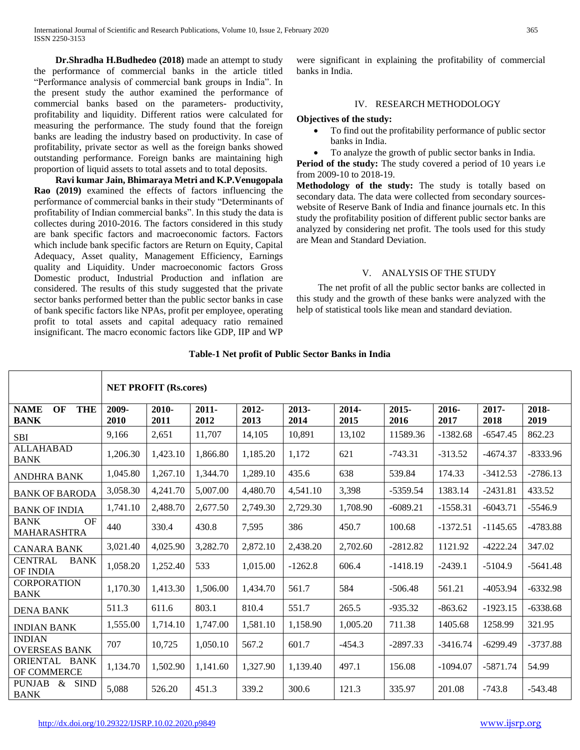**Dr.Shradha H.Budhedeo (2018)** made an attempt to study the performance of commercial banks in the article titled "Performance analysis of commercial bank groups in India". In the present study the author examined the performance of commercial banks based on the parameters- productivity, profitability and liquidity. Different ratios were calculated for measuring the performance. The study found that the foreign banks are leading the industry based on productivity. In case of profitability, private sector as well as the foreign banks showed outstanding performance. Foreign banks are maintaining high proportion of liquid assets to total assets and to total deposits.

 **Ravi kumar Jain, Bhimaraya Metri and K.P.Venugopala Rao (2019)** examined the effects of factors influencing the performance of commercial banks in their study "Determinants of profitability of Indian commercial banks". In this study the data is collectes during 2010-2016. The factors considered in this study are bank specific factors and macroeconomic factors. Factors which include bank specific factors are Return on Equity, Capital Adequacy, Asset quality, Management Efficiency, Earnings quality and Liquidity. Under macroeconomic factors Gross Domestic product, Industrial Production and inflation are considered. The results of this study suggested that the private sector banks performed better than the public sector banks in case of bank specific factors like NPAs, profit per employee, operating profit to total assets and capital adequacy ratio remained insignificant. The macro economic factors like GDP, IIP and WP

were significant in explaining the profitability of commercial banks in India.

#### IV. RESEARCH METHODOLOGY

#### **Objectives of the study:**

- To find out the profitability performance of public sector banks in India.
- To analyze the growth of public sector banks in India.

**Period of the study:** The study covered a period of 10 years i.e from 2009-10 to 2018-19.

**Methodology of the study:** The study is totally based on secondary data. The data were collected from secondary sourceswebsite of Reserve Bank of India and finance journals etc. In this study the profitability position of different public sector banks are analyzed by considering net profit. The tools used for this study are Mean and Standard Deviation.

### V. ANALYSIS OF THE STUDY

 The net profit of all the public sector banks are collected in this study and the growth of these banks were analyzed with the help of statistical tools like mean and standard deviation.

|                                                     | <b>NET PROFIT (Rs.cores)</b> |               |                  |               |               |               |               |               |               |               |
|-----------------------------------------------------|------------------------------|---------------|------------------|---------------|---------------|---------------|---------------|---------------|---------------|---------------|
| <b>THE</b><br><b>NAME</b><br>OF<br><b>BANK</b>      | 2009-<br>2010                | 2010-<br>2011 | $2011 -$<br>2012 | 2012-<br>2013 | 2013-<br>2014 | 2014-<br>2015 | 2015-<br>2016 | 2016-<br>2017 | 2017-<br>2018 | 2018-<br>2019 |
| <b>SBI</b>                                          | 9,166                        | 2,651         | 11,707           | 14,105        | 10,891        | 13,102        | 11589.36      | $-1382.68$    | $-6547.45$    | 862.23        |
| <b>ALLAHABAD</b><br><b>BANK</b>                     | 1,206.30                     | 1,423.10      | 1.866.80         | 1,185.20      | 1,172         | 621           | $-743.31$     | $-313.52$     | $-4674.37$    | $-8333.96$    |
| <b>ANDHRA BANK</b>                                  | 1,045.80                     | 1,267.10      | 1,344.70         | 1,289.10      | 435.6         | 638           | 539.84        | 174.33        | $-3412.53$    | $-2786.13$    |
| <b>BANK OF BARODA</b>                               | 3,058.30                     | 4,241.70      | 5,007.00         | 4.480.70      | 4,541.10      | 3,398         | $-5359.54$    | 1383.14       | $-2431.81$    | 433.52        |
| <b>BANK OF INDIA</b>                                | 1,741.10                     | 2.488.70      | 2.677.50         | 2,749.30      | 2,729.30      | 1,708.90      | $-6089.21$    | $-1558.31$    | $-6043.71$    | $-5546.9$     |
| <b>BANK</b><br>OF<br><b>MAHARASHTRA</b>             | 440                          | 330.4         | 430.8            | 7,595         | 386           | 450.7         | 100.68        | $-1372.51$    | $-1145.65$    | $-4783.88$    |
| <b>CANARA BANK</b>                                  | 3,021.40                     | 4,025.90      | 3,282.70         | 2,872.10      | 2,438.20      | 2,702.60      | $-2812.82$    | 1121.92       | $-4222.24$    | 347.02        |
| <b>CENTRAL</b><br><b>BANK</b><br>OF INDIA           | 1,058.20                     | 1,252.40      | 533              | 1,015.00      | $-1262.8$     | 606.4         | $-1418.19$    | $-2439.1$     | $-5104.9$     | $-5641.48$    |
| <b>CORPORATION</b><br><b>BANK</b>                   | 1,170.30                     | 1,413.30      | 1,506.00         | 1,434.70      | 561.7         | 584           | $-506.48$     | 561.21        | $-4053.94$    | $-6332.98$    |
| <b>DENA BANK</b>                                    | 511.3                        | 611.6         | 803.1            | 810.4         | 551.7         | 265.5         | $-935.32$     | $-863.62$     | $-1923.15$    | $-6338.68$    |
| <b>INDIAN BANK</b>                                  | 1,555.00                     | 1,714.10      | 1,747.00         | 1,581.10      | 1,158.90      | 1,005.20      | 711.38        | 1405.68       | 1258.99       | 321.95        |
| <b>INDIAN</b><br><b>OVERSEAS BANK</b>               | 707                          | 10,725        | 1,050.10         | 567.2         | 601.7         | -454.3        | $-2897.33$    | $-3416.74$    | $-6299.49$    | $-3737.88$    |
| ORIENTAL<br><b>BANK</b><br>OF COMMERCE              | 1,134.70                     | 1,502.90      | 1,141.60         | 1,327.90      | 1,139.40      | 497.1         | 156.08        | $-1094.07$    | -5871.74      | 54.99         |
| <b>PUNJAB</b><br>$\&$<br><b>SIND</b><br><b>BANK</b> | 5,088                        | 526.20        | 451.3            | 339.2         | 300.6         | 121.3         | 335.97        | 201.08        | $-743.8$      | $-543.48$     |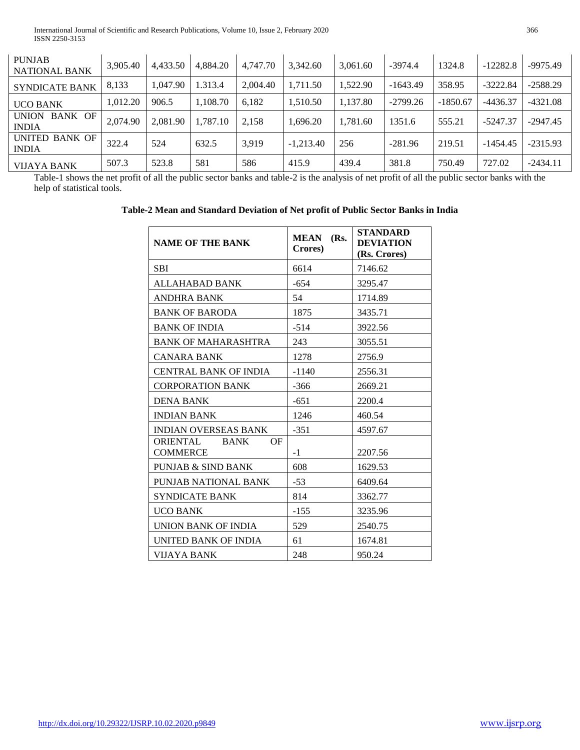| <b>PUNJAB</b><br><b>NATIONAL BANK</b>   | 3.905.40 | 4.433.50 | 4.884.20 | 4.747.70 | 3.342.60    | 3.061.60 | $-3974.4$  | 1324.8     | $-12282.8$ | $-9975.49$ |
|-----------------------------------------|----------|----------|----------|----------|-------------|----------|------------|------------|------------|------------|
| <b>SYNDICATE BANK</b>                   | 8,133    | 1.047.90 | 1.313.4  | 2.004.40 | 1,711.50    | 1.522.90 | $-1643.49$ | 358.95     | $-3222.84$ | $-2588.29$ |
| <b>UCO BANK</b>                         | 1.012.20 | 906.5    | 1.108.70 | 6.182    | 1,510.50    | 1,137.80 | $-2799.26$ | $-1850.67$ | $-4436.37$ | $-4321.08$ |
| BANK OF<br><b>UNION</b><br><b>INDIA</b> | 2.074.90 | 2.081.90 | 1,787.10 | 2,158    | 1,696.20    | 1,781.60 | 1351.6     | 555.21     | $-5247.37$ | $-2947.45$ |
| UNITED BANK OF<br><b>INDIA</b>          | 322.4    | 524      | 632.5    | 3,919    | $-1.213.40$ | 256      | $-281.96$  | 219.51     | $-1454.45$ | $-2315.93$ |
| <b>VIJAYA BANK</b>                      | 507.3    | 523.8    | 581      | 586      | 415.9       | 439.4    | 381.8      | 750.49     | 727.02     | $-2434.11$ |

Table-1 shows the net profit of all the public sector banks and table-2 is the analysis of net profit of all the public sector banks with the help of statistical tools.

| Table-2 Mean and Standard Deviation of Net profit of Public Sector Banks in India |  |  |  |  |
|-----------------------------------------------------------------------------------|--|--|--|--|
|                                                                                   |  |  |  |  |

| <b>NAME OF THE BANK</b>                                 | <b>MEAN</b><br>(Rs.<br>Crores) | <b>STANDARD</b><br><b>DEVIATION</b><br>(Rs. Crores) |  |
|---------------------------------------------------------|--------------------------------|-----------------------------------------------------|--|
| <b>SBI</b>                                              | 6614                           | 7146.62                                             |  |
| ALLAHABAD BANK                                          | $-654$                         | 3295.47                                             |  |
| <b>ANDHRA BANK</b>                                      | 54                             | 1714.89                                             |  |
| <b>BANK OF BARODA</b>                                   | 1875                           | 3435.71                                             |  |
| <b>BANK OF INDIA</b>                                    | $-514$                         | 3922.56                                             |  |
| <b>BANK OF MAHARASHTRA</b>                              | 243                            | 3055.51                                             |  |
| CANARA BANK                                             | 1278                           | 2756.9                                              |  |
| <b>CENTRAL BANK OF INDIA</b>                            | $-1140$                        | 2556.31                                             |  |
| <b>CORPORATION BANK</b>                                 | -366                           | 2669.21                                             |  |
| <b>DENA BANK</b>                                        | $-651$                         | 2200.4                                              |  |
| <b>INDIAN BANK</b>                                      | 1246                           | 460.54                                              |  |
| <b>INDIAN OVERSEAS BANK</b>                             | $-351$                         | 4597.67                                             |  |
| <b>ORIENTAL</b><br><b>BANK</b><br>OF<br><b>COMMERCE</b> | $-1$                           | 2207.56                                             |  |
| <b>PUNJAB &amp; SIND BANK</b>                           | 608                            | 1629.53                                             |  |
| PUNJAB NATIONAL BANK                                    | $-53$                          | 6409.64                                             |  |
| <b>SYNDICATE BANK</b>                                   | 814                            | 3362.77                                             |  |
| <b>UCO BANK</b>                                         | $-155$                         | 3235.96                                             |  |
| UNION BANK OF INDIA                                     | 529                            | 2540.75                                             |  |
| UNITED BANK OF INDIA                                    | 61                             | 1674.81                                             |  |
| VIJAYA BANK                                             | 248                            | 950.24                                              |  |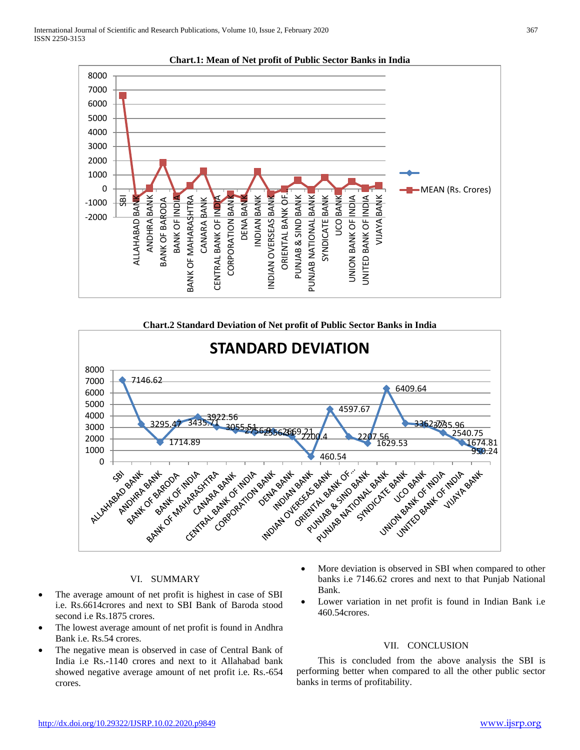

**Chart.1: Mean of Net profit of Public Sector Banks in India**



### VI. SUMMARY

- The average amount of net profit is highest in case of SBI i.e. Rs.6614crores and next to SBI Bank of Baroda stood second i.e Rs.1875 crores.
- The lowest average amount of net profit is found in Andhra Bank i.e. Rs.54 crores.
- The negative mean is observed in case of Central Bank of India i.e Rs.-1140 crores and next to it Allahabad bank showed negative average amount of net profit i.e. Rs.-654 crores.
- More deviation is observed in SBI when compared to other banks i.e 7146.62 crores and next to that Punjab National Bank.
- Lower variation in net profit is found in Indian Bank i.e 460.54crores.

#### VII. CONCLUSION

 This is concluded from the above analysis the SBI is performing better when compared to all the other public sector banks in terms of profitability.